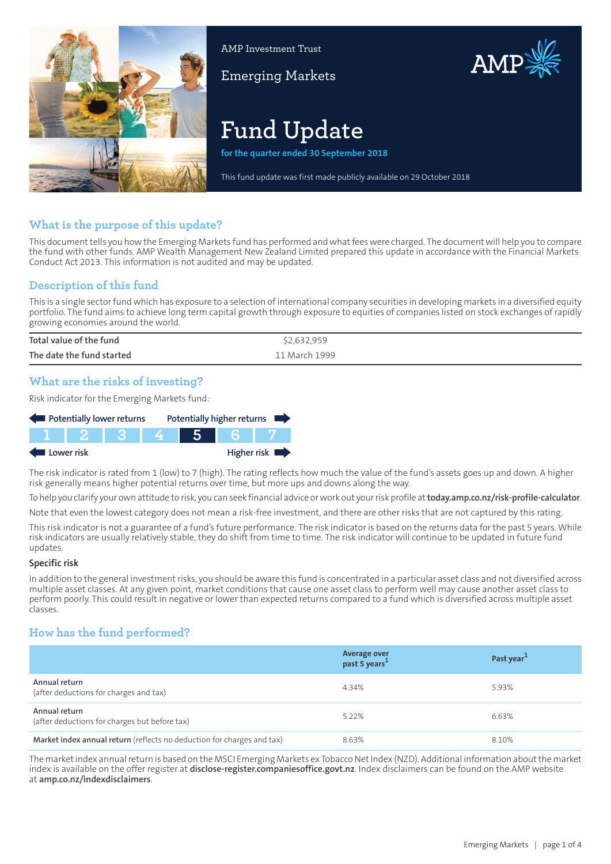

AMP Investment Trust

Emerging Markets



# **Fund Update**

**for the quarter ended 30 September 2018**

This fund update was first made publicly available on 29 October 2018

## **What is the purpose of this update?**

This document tells you how the Emerging Markets fund has performed and what fees were charged. The document will help you to compare the fund with other funds. AMP Wealth Management New Zealand Limited prepared this update in accordance with the Financial Markets Conduct Act 2013. This information is not audited and may be updated.

## **Description of this fund**

This is a single sectorfund which has exposure to a selection of international company securities in developing markets in a diversified equity portfolio. The fund aims to achieve long term capital growth through exposure to equities of companies listed on stock exchanges of rapidly growing economies around the world.

| Total value of the fund   | \$2,632,959   |
|---------------------------|---------------|
| The date the fund started | 11 March 1999 |

## **What are the risks of investing?**

Risk indicator for the Emerging Markets fund:



The risk indicator is rated from 1 (low) to 7 (high). The rating reflects how much the value of the fund's assets goes up and down. A higher risk generally means higher potential returns over time, but more ups and downs along the way.

To help you clarify your own attitude to risk, you can seek financial advice orwork out yourrisk profile at**[today.amp.co.nz/risk-profile-calculator](http://today.amp.co.nz/risk-profile-calculator)**.

Note that even the lowest category does not mean a risk-free investment, and there are other risks that are not captured by this rating.

This risk indicator is not a guarantee of a fund's future performance. The risk indicator is based on the returns data for the past 5 years. While risk indicators are usually relatively stable, they do shift from time to time. The risk indicator will continue to be updated in future fund updates.

#### **Specific risk**

In addition to the general investmentrisks, you should be aware this fund is concentrated in a particular asset class and not diversified across multiple asset classes. At any given point, market conditions that cause one asset class to perform well may cause another asset class to perform poorly. This could result in negative or lower than expected returns compared to a fund which is diversified across multiple asset classes.

## **How has the fund performed?**

|                                                                        | Average over<br>past 5 years <sup>1</sup> | Past year <sup>1</sup> |
|------------------------------------------------------------------------|-------------------------------------------|------------------------|
| Annual return<br>(after deductions for charges and tax)                | 4.34%                                     | 5.93%                  |
| Annual return<br>(after deductions for charges but before tax)         | 5.22%                                     | 6.63%                  |
| Market index annual return (reflects no deduction for charges and tax) | 8.63%                                     | 8.10%                  |

The market index annual return is based on the MSCI Emerging Markets ex Tobacco Net Index (NZD). Additional information about the market index is available on the offer register at **[disclose-register.companiesoffice.govt.nz](https://disclose-register.companiesoffice.govt.nz/)**. Index disclaimers can be found on the AMP website at **[amp.co.nz/indexdisclaimers](http://amp.co.nz/indexdisclaimers)**.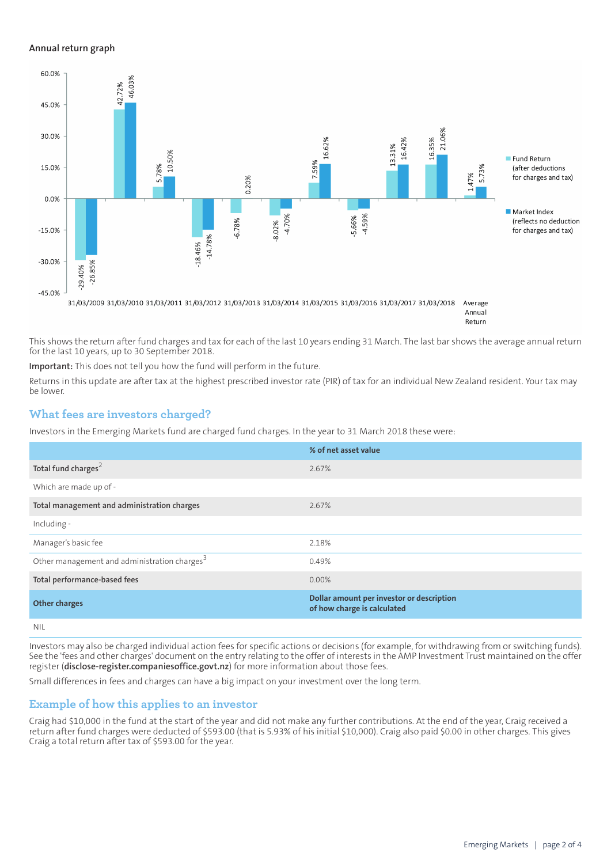#### **Annual return graph**



Return

This shows the return after fund charges and tax for each of the last 10 years ending 31 March. The last bar shows the average annual return for the last 10 years, up to 30 September 2018.

**Important:** This does not tell you how the fund will perform in the future.

Returns in this update are after tax at the highest prescribed investor rate (PIR) of tax for an individual New Zealand resident. Your tax may be lower.

#### **What fees are investors charged?**

Investors in the Emerging Markets fund are charged fund charges. In the year to 31 March 2018 these were:

|                                                          | % of net asset value                                                     |
|----------------------------------------------------------|--------------------------------------------------------------------------|
| Total fund charges <sup>2</sup>                          | 2.67%                                                                    |
| Which are made up of -                                   |                                                                          |
| Total management and administration charges              | 2.67%                                                                    |
| Including -                                              |                                                                          |
| Manager's basic fee                                      | 2.18%                                                                    |
| Other management and administration charges <sup>3</sup> | 0.49%                                                                    |
| Total performance-based fees                             | $0.00\%$                                                                 |
| <b>Other charges</b>                                     | Dollar amount per investor or description<br>of how charge is calculated |
| <b>NIL</b>                                               |                                                                          |

Investors may also be charged individual action fees for specific actions or decisions (for example, for withdrawing from or switching funds). See the 'fees and other charges' document on the entry relating to the offer of interests in the AMP Investment Trust maintained on the offer register (**[disclose-register.companiesoffice.govt.nz](https://disclose-register.companiesoffice.govt.nz/)**) for more information about those fees.

Small differences in fees and charges can have a big impact on your investment over the long term.

#### **Example of how this applies to an investor**

Craig had \$10,000 in the fund at the start of the year and did not make any further contributions. At the end of the year, Craig received a return after fund charges were deducted of \$593.00 (that is 5.93% of his initial \$10,000). Craig also paid \$0.00 in other charges. This gives Craig a total return after tax of \$593.00 for the year.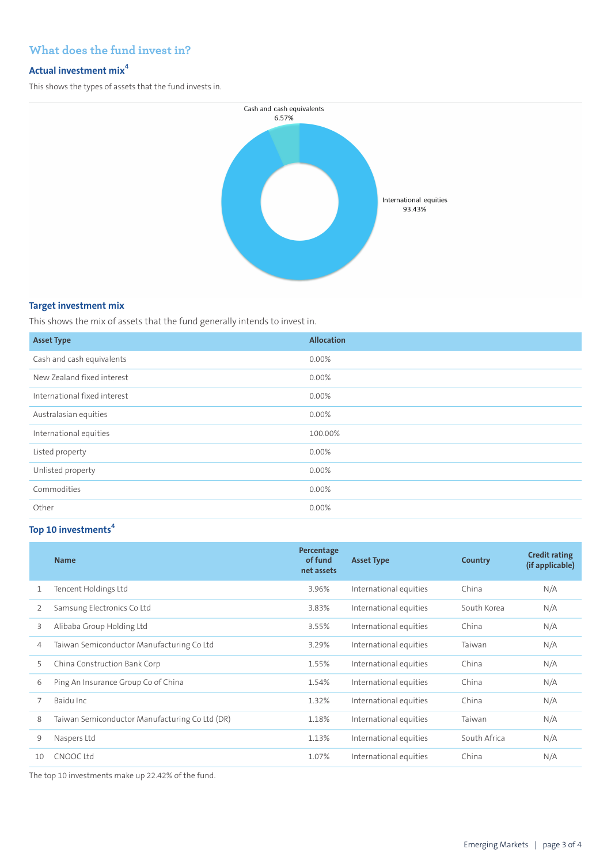## **What does the fund invest in?**

### **Actual investment mix<sup>4</sup>**

This shows the types of assets that the fund invests in.



#### **Target investment mix**

This shows the mix of assets that the fund generally intends to invest in.

| <b>Asset Type</b>            | <b>Allocation</b> |
|------------------------------|-------------------|
| Cash and cash equivalents    | 0.00%             |
| New Zealand fixed interest   | 0.00%             |
| International fixed interest | 0.00%             |
| Australasian equities        | 0.00%             |
| International equities       | 100.00%           |
| Listed property              | 0.00%             |
| Unlisted property            | 0.00%             |
| Commodities                  | 0.00%             |
| Other                        | 0.00%             |

## **Top 10 investments<sup>4</sup>**

|    | <b>Name</b>                                    | Percentage<br>of fund<br>net assets | <b>Asset Type</b>      | Country      | <b>Credit rating</b><br>(if applicable) |
|----|------------------------------------------------|-------------------------------------|------------------------|--------------|-----------------------------------------|
|    | Tencent Holdings Ltd                           | 3.96%                               | International equities | China        | N/A                                     |
| 2  | Samsung Electronics Co Ltd                     | 3.83%                               | International equities | South Korea  | N/A                                     |
| 3  | Alibaba Group Holding Ltd                      | 3.55%                               | International equities | China        | N/A                                     |
| 4  | Taiwan Semiconductor Manufacturing Co Ltd      | 3.29%                               | International equities | Taiwan       | N/A                                     |
| 5  | China Construction Bank Corp                   | 1.55%                               | International equities | China        | N/A                                     |
| 6  | Ping An Insurance Group Co of China            | 1.54%                               | International equities | China        | N/A                                     |
|    | Baidu Inc                                      | 1.32%                               | International equities | China        | N/A                                     |
| 8  | Taiwan Semiconductor Manufacturing Co Ltd (DR) | 1.18%                               | International equities | Taiwan       | N/A                                     |
| 9  | Naspers Ltd                                    | 1.13%                               | International equities | South Africa | N/A                                     |
| 10 | CNOOC Ltd                                      | 1.07%                               | International equities | China        | N/A                                     |

The top 10 investments make up 22.42% of the fund.